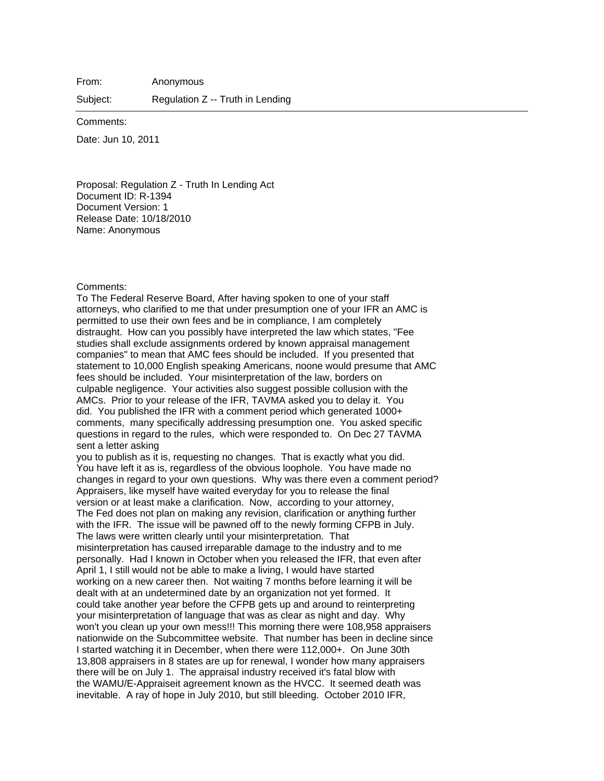From: Anonymous

Subject: Regulation Z -- Truth in Lending

Comments:

Date: Jun 10, 2011

Proposal: Regulation Z - Truth In Lending Act Document ID: R-1394 Document Version: 1 Release Date: 10/18/2010 Name: Anonymous

## Comments:

To The Federal Reserve Board, After having spoken to one of your staff attorneys, who clarified to me that under presumption one of your IFR an AMC is permitted to use their own fees and be in compliance, I am completely distraught. How can you possibly have interpreted the law which states, "Fee studies shall exclude assignments ordered by known appraisal management companies" to mean that AMC fees should be included. If you presented that statement to 10,000 English speaking Americans, noone would presume that AMC fees should be included. Your misinterpretation of the law, borders on culpable negligence. Your activities also suggest possible collusion with the AMCs. Prior to your release of the IFR, TAVMA asked you to delay it. You did. You published the IFR with a comment period which generated 1000+ comments, many specifically addressing presumption one. You asked specific questions in regard to the rules, which were responded to. On Dec 27 TAVMA sent a letter asking

you to publish as it is, requesting no changes. That is exactly what you did. You have left it as is, regardless of the obvious loophole. You have made no changes in regard to your own questions. Why was there even a comment period? Appraisers, like myself have waited everyday for you to release the final version or at least make a clarification. Now, according to your attorney, The Fed does not plan on making any revision, clarification or anything further with the IFR. The issue will be pawned off to the newly forming CFPB in July. The laws were written clearly until your misinterpretation. That misinterpretation has caused irreparable damage to the industry and to me personally. Had I known in October when you released the IFR, that even after April 1, I still would not be able to make a living, I would have started working on a new career then. Not waiting 7 months before learning it will be dealt with at an undetermined date by an organization not yet formed. It could take another year before the CFPB gets up and around to reinterpreting your misinterpretation of language that was as clear as night and day. Why won't you clean up your own mess!!! This morning there were 108,958 appraisers nationwide on the Subcommittee website. That number has been in decline since I started watching it in December, when there were 112,000+. On June 30th 13,808 appraisers in 8 states are up for renewal, I wonder how many appraisers there will be on July 1. The appraisal industry received it's fatal blow with the WAMU/E-Appraiseit agreement known as the HVCC. It seemed death was inevitable. A ray of hope in July 2010, but still bleeding. October 2010 IFR,